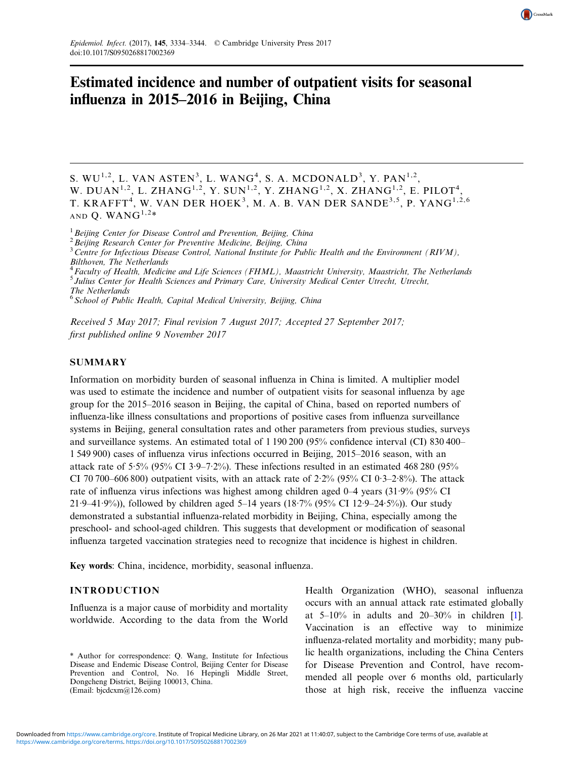

# Estimated incidence and number of outpatient visits for seasonal influenza in 2015–2016 in Beijing, China

S. WU $^{1,2}$ , L. VAN ASTEN $^3$ , L. WANG $^4$ , S. A. MCDONALD $^3$ , Y. PAN $^{1,2}$ , W. DUAN $^{1,2}$ , L. ZHANG $^{1,2}$ , Y. SUN $^{1,2}$ , Y. ZHANG $^{1,2}$ , X. ZHANG $^{1,2}$ , E. PILOT $^{4}$ , T. KRAFFT $^4$ , W. VAN DER HOEK $^3$ , M. A. B. VAN DER SANDE $^{3,5}$ , P. YANG $^{1,2,6}$ AND Q. WAN $G^{1,2*}$ 

 $1$  Beijing Center for Disease Control and Prevention, Beijing, China

2 Beijing Research Center for Preventive Medicine, Beijing, China

 $3$  Centre for Infectious Disease Control, National Institute for Public Health and the Environment (RIVM), Bilthoven, The Netherlands

<sup>4</sup> Faculty of Health, Medicine and Life Sciences (FHML), Maastricht University, Maastricht, The Netherlands <sup>5</sup> Julius Center for Health Sciences and Primary Care, University Medical Center Utrecht, Utrecht, The Netherlands

 $6$  School of Public Health, Capital Medical University, Beijing, China

Received 5 May 2017; Final revision 7 August 2017; Accepted 27 September 2017; first published online 9 November 2017

# **SUMMARY**

Information on morbidity burden of seasonal influenza in China is limited. A multiplier model was used to estimate the incidence and number of outpatient visits for seasonal influenza by age group for the 2015–2016 season in Beijing, the capital of China, based on reported numbers of influenza-like illness consultations and proportions of positive cases from influenza surveillance systems in Beijing, general consultation rates and other parameters from previous studies, surveys and surveillance systems. An estimated total of 1 190 200 (95% confidence interval (CI) 830 400– 1 549 900) cases of influenza virus infections occurred in Beijing, 2015–2016 season, with an attack rate of 5·5% (95% CI 3·9–7·2%). These infections resulted in an estimated 468 280 (95% CI 70 700–606 800) outpatient visits, with an attack rate of  $2.2\%$  (95% CI 0·3–2·8%). The attack rate of influenza virus infections was highest among children aged 0–4 years (31·9% (95% CI 21·9–41·9%)), followed by children aged 5–14 years (18·7% (95% CI 12·9–24·5%)). Our study demonstrated a substantial influenza-related morbidity in Beijing, China, especially among the preschool- and school-aged children. This suggests that development or modification of seasonal influenza targeted vaccination strategies need to recognize that incidence is highest in children.

Key words: China, incidence, morbidity, seasonal influenza.

# INTRODUCTION

Influenza is a major cause of morbidity and mortality worldwide. According to the data from the World Health Organization (WHO), seasonal influenza occurs with an annual attack rate estimated globally at  $5-10\%$  in adults and  $20-30\%$  in children [[1\]](#page-10-0). Vaccination is an effective way to minimize influenza-related mortality and morbidity; many public health organizations, including the China Centers for Disease Prevention and Control, have recommended all people over 6 months old, particularly those at high risk, receive the influenza vaccine

<sup>\*</sup> Author for correspondence: Q. Wang, Institute for Infectious Disease and Endemic Disease Control, Beijing Center for Disease Prevention and Control, No. 16 Hepingli Middle Street, Dongcheng District, Beijing 100013, China. (Email: [bjcdcxm@126.com\)](mailto:bjcdcxm@126.com)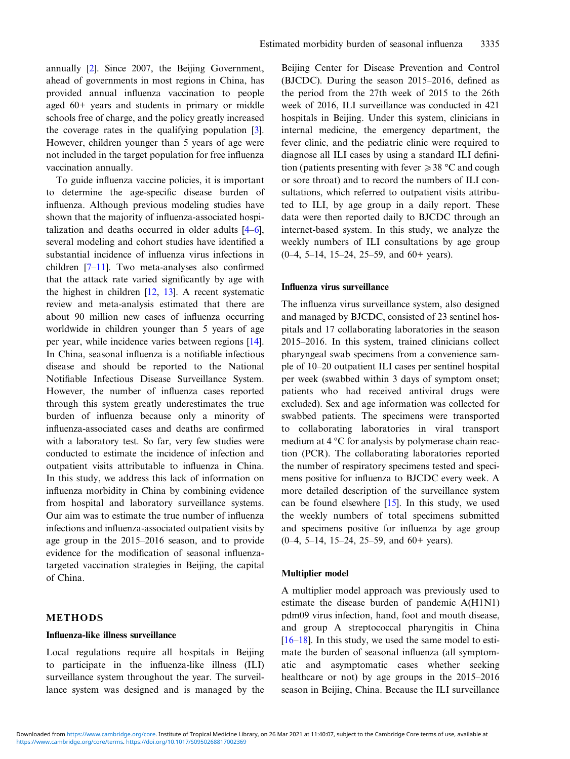annually [\[2](#page-10-0)]. Since 2007, the Beijing Government, ahead of governments in most regions in China, has provided annual influenza vaccination to people aged 60+ years and students in primary or middle schools free of charge, and the policy greatly increased the coverage rates in the qualifying population [[3\]](#page-10-0). However, children younger than 5 years of age were not included in the target population for free influenza vaccination annually.

To guide influenza vaccine policies, it is important to determine the age-specific disease burden of influenza. Although previous modeling studies have shown that the majority of influenza-associated hospitalization and deaths occurred in older adults [[4](#page-10-0)–[6\]](#page-10-0), several modeling and cohort studies have identified a substantial incidence of influenza virus infections in children [[7](#page-10-0)–[11\]](#page-10-0). Two meta-analyses also confirmed that the attack rate varied significantly by age with the highest in children [[12,](#page-10-0) [13\]](#page-10-0). A recent systematic review and meta-analysis estimated that there are about 90 million new cases of influenza occurring worldwide in children younger than 5 years of age per year, while incidence varies between regions [[14\]](#page-10-0). In China, seasonal influenza is a notifiable infectious disease and should be reported to the National Notifiable Infectious Disease Surveillance System. However, the number of influenza cases reported through this system greatly underestimates the true burden of influenza because only a minority of influenza-associated cases and deaths are confirmed with a laboratory test. So far, very few studies were conducted to estimate the incidence of infection and outpatient visits attributable to influenza in China. In this study, we address this lack of information on influenza morbidity in China by combining evidence from hospital and laboratory surveillance systems. Our aim was to estimate the true number of influenza infections and influenza-associated outpatient visits by age group in the 2015–2016 season, and to provide evidence for the modification of seasonal influenzatargeted vaccination strategies in Beijing, the capital of China.

# METHODS

# Influenza-like illness surveillance

Local regulations require all hospitals in Beijing to participate in the influenza-like illness (ILI) surveillance system throughout the year. The surveillance system was designed and is managed by the Beijing Center for Disease Prevention and Control (BJCDC). During the season 2015–2016, defined as the period from the 27th week of 2015 to the 26th week of 2016, ILI surveillance was conducted in 421 hospitals in Beijing. Under this system, clinicians in internal medicine, the emergency department, the fever clinic, and the pediatric clinic were required to diagnose all ILI cases by using a standard ILI definition (patients presenting with fever  $\geq 38$  °C and cough or sore throat) and to record the numbers of ILI consultations, which referred to outpatient visits attributed to ILI, by age group in a daily report. These data were then reported daily to BJCDC through an internet-based system. In this study, we analyze the weekly numbers of ILI consultations by age group (0–4, 5–14, 15–24, 25–59, and 60+ years).

#### Influenza virus surveillance

The influenza virus surveillance system, also designed and managed by BJCDC, consisted of 23 sentinel hospitals and 17 collaborating laboratories in the season 2015–2016. In this system, trained clinicians collect pharyngeal swab specimens from a convenience sample of 10–20 outpatient ILI cases per sentinel hospital per week (swabbed within 3 days of symptom onset; patients who had received antiviral drugs were excluded). Sex and age information was collected for swabbed patients. The specimens were transported to collaborating laboratories in viral transport medium at 4 °C for analysis by polymerase chain reaction (PCR). The collaborating laboratories reported the number of respiratory specimens tested and specimens positive for influenza to BJCDC every week. A more detailed description of the surveillance system can be found elsewhere  $[15]$  $[15]$ . In this study, we used the weekly numbers of total specimens submitted and specimens positive for influenza by age group (0–4, 5–14, 15–24, 25–59, and 60+ years).

#### Multiplier model

A multiplier model approach was previously used to estimate the disease burden of pandemic A(H1N1) pdm09 virus infection, hand, foot and mouth disease, and group A streptococcal pharyngitis in China  $[16–18]$  $[16–18]$  $[16–18]$  $[16–18]$ . In this study, we used the same model to estimate the burden of seasonal influenza (all symptomatic and asymptomatic cases whether seeking healthcare or not) by age groups in the 2015–2016 season in Beijing, China. Because the ILI surveillance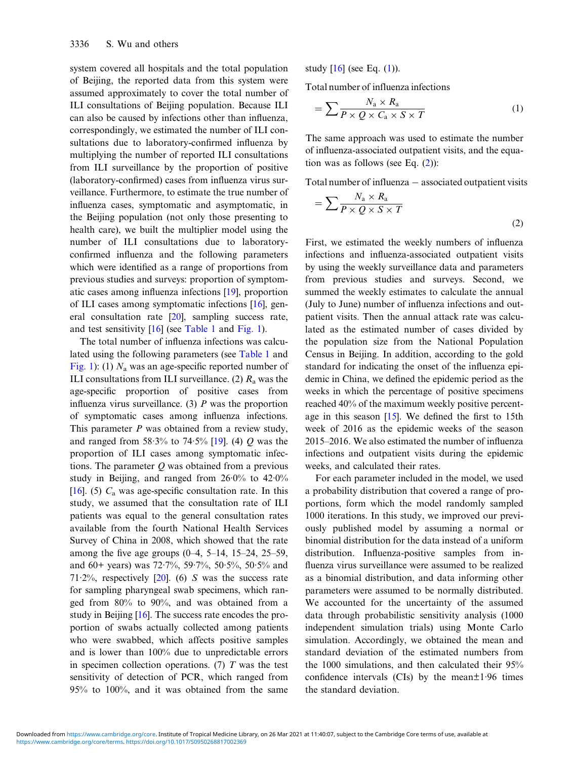system covered all hospitals and the total population of Beijing, the reported data from this system were assumed approximately to cover the total number of ILI consultations of Beijing population. Because ILI can also be caused by infections other than influenza, correspondingly, we estimated the number of ILI consultations due to laboratory-confirmed influenza by multiplying the number of reported ILI consultations from ILI surveillance by the proportion of positive (laboratory-confirmed) cases from influenza virus surveillance. Furthermore, to estimate the true number of influenza cases, symptomatic and asymptomatic, in the Beijing population (not only those presenting to health care), we built the multiplier model using the number of ILI consultations due to laboratoryconfirmed influenza and the following parameters which were identified as a range of proportions from previous studies and surveys: proportion of symptomatic cases among influenza infections [[19\]](#page-10-0), proportion of ILI cases among symptomatic infections [\[16](#page-10-0)], general consultation rate [\[20](#page-10-0)], sampling success rate, and test sensitivity [\[16](#page-10-0)] (see [Table 1](#page-3-0) and [Fig. 1\)](#page-4-0).

The total number of influenza infections was calculated using the following parameters (see [Table 1](#page-3-0) and [Fig. 1](#page-4-0)): (1)  $N_a$  was an age-specific reported number of ILI consultations from ILI surveillance. (2)  $R_a$  was the age-specific proportion of positive cases from influenza virus surveillance. (3)  $P$  was the proportion of symptomatic cases among influenza infections. This parameter P was obtained from a review study, and ranged from  $58.3\%$  to  $74.5\%$  [\[19](#page-10-0)]. (4) Q was the proportion of ILI cases among symptomatic infections. The parameter  $Q$  was obtained from a previous study in Beijing, and ranged from  $26.0\%$  to  $42.0\%$ [[16\]](#page-10-0). (5)  $C_a$  was age-specific consultation rate. In this study, we assumed that the consultation rate of ILI patients was equal to the general consultation rates available from the fourth National Health Services Survey of China in 2008, which showed that the rate among the five age groups  $(0-4, 5-14, 15-24, 25-59,$ and 60+ years) was 72·7%, 59·7%, 50·5%, 50·5% and  $71.2\%$ , respectively [\[20](#page-10-0)]. (6) S was the success rate for sampling pharyngeal swab specimens, which ranged from 80% to 90%, and was obtained from a study in Beijing [[16\]](#page-10-0). The success rate encodes the proportion of swabs actually collected among patients who were swabbed, which affects positive samples and is lower than 100% due to unpredictable errors in specimen collection operations. (7)  $T$  was the test sensitivity of detection of PCR, which ranged from 95% to 100%, and it was obtained from the same study  $[16]$  $[16]$  (see Eq.  $(1)$ ).

Total number of influenza infections

$$
= \sum \frac{N_a \times R_a}{P \times Q \times C_a \times S \times T} \tag{1}
$$

The same approach was used to estimate the number of influenza-associated outpatient visits, and the equation was as follows (see Eq. (2)):

Total number of influenza − associated outpatient visits

$$
=\sum \frac{N_{\rm a} \times R_{\rm a}}{P \times Q \times S \times T}
$$
\n(2)

First, we estimated the weekly numbers of influenza infections and influenza-associated outpatient visits by using the weekly surveillance data and parameters from previous studies and surveys. Second, we summed the weekly estimates to calculate the annual (July to June) number of influenza infections and outpatient visits. Then the annual attack rate was calculated as the estimated number of cases divided by the population size from the National Population Census in Beijing. In addition, according to the gold standard for indicating the onset of the influenza epidemic in China, we defined the epidemic period as the weeks in which the percentage of positive specimens reached 40% of the maximum weekly positive percentage in this season  $[15]$  $[15]$ . We defined the first to 15th week of 2016 as the epidemic weeks of the season 2015–2016. We also estimated the number of influenza infections and outpatient visits during the epidemic weeks, and calculated their rates.

For each parameter included in the model, we used a probability distribution that covered a range of proportions, form which the model randomly sampled 1000 iterations. In this study, we improved our previously published model by assuming a normal or binomial distribution for the data instead of a uniform distribution. Influenza-positive samples from influenza virus surveillance were assumed to be realized as a binomial distribution, and data informing other parameters were assumed to be normally distributed. We accounted for the uncertainty of the assumed data through probabilistic sensitivity analysis (1000 independent simulation trials) using Monte Carlo simulation. Accordingly, we obtained the mean and standard deviation of the estimated numbers from the 1000 simulations, and then calculated their 95% confidence intervals (CIs) by the mean±1·96 times the standard deviation.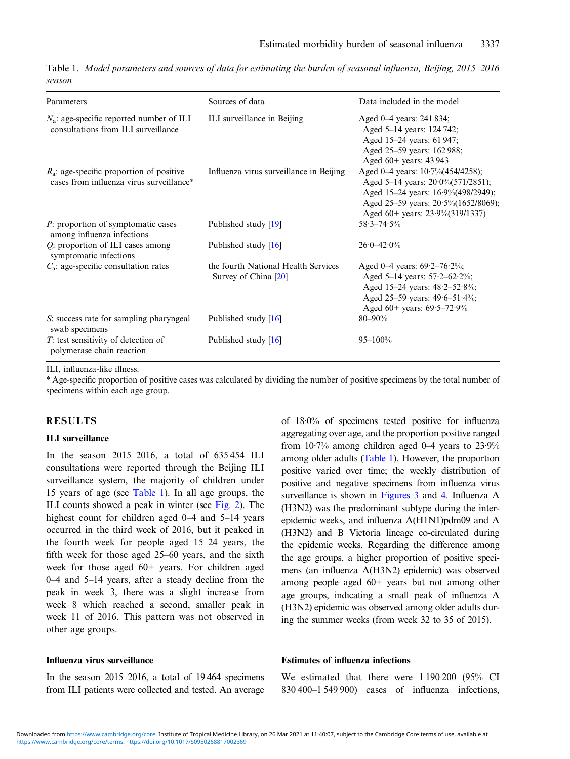<span id="page-3-0"></span>Table 1. Model parameters and sources of data for estimating the burden of seasonal influenza, Beijing, 2015–2016 season

| Parameters                                                                              | Sources of data                                             | Data included in the model                                                                                                                                                                            |
|-----------------------------------------------------------------------------------------|-------------------------------------------------------------|-------------------------------------------------------------------------------------------------------------------------------------------------------------------------------------------------------|
| $N_a$ : age-specific reported number of ILI<br>consultations from ILI surveillance      | ILI surveillance in Beijing                                 | Aged 0–4 years: 241 834;<br>Aged 5-14 years: 124 742;<br>Aged 15–24 years: 61 947;<br>Aged 25–59 years: 162 988;<br>Aged 60+ years: 43 943                                                            |
| $R_a$ : age-specific proportion of positive<br>cases from influenza virus surveillance* | Influenza virus surveillance in Beijing                     | Aged 0-4 years: $10.7\%$ (454/4258);<br>Aged 5–14 years: $20.0\frac{6}{571/2851}$ ;<br>Aged 15-24 years: 16.9% (498/2949);<br>Aged 25-59 years: 20.5% (1652/8069);<br>Aged 60+ years: 23.9%(319/1337) |
| P: proportion of symptomatic cases<br>among influenza infections                        | Published study [19]                                        | $58.3 - 74.5\%$                                                                                                                                                                                       |
| $Q$ : proportion of ILI cases among<br>symptomatic infections                           | Published study [16]                                        | $26.0 - 42.0\%$                                                                                                                                                                                       |
| $C_a$ : age-specific consultation rates                                                 | the fourth National Health Services<br>Survey of China [20] | Aged 0–4 years: $69.2 - 76.2\%$ ;<br>Aged 5-14 years: $57.2 - 62.2\%$ ;<br>Aged 15-24 years: 48.2-52.8%;<br>Aged 25-59 years: 49.6-51.4%;<br>Aged 60+ years: $69.5 - 72.9\%$                          |
| S: success rate for sampling pharyngeal<br>swab specimens                               | Published study [16]                                        | $80 - 90\%$                                                                                                                                                                                           |
| $T$ : test sensitivity of detection of<br>polymerase chain reaction                     | Published study [16]                                        | $95 - 100\%$                                                                                                                                                                                          |

ILI, influenza-like illness.

\* Age-specific proportion of positive cases was calculated by dividing the number of positive specimens by the total number of specimens within each age group.

# RESULTS

#### ILI surveillance

In the season 2015–2016, a total of 635 454 ILI consultations were reported through the Beijing ILI surveillance system, the majority of children under 15 years of age (see Table 1). In all age groups, the ILI counts showed a peak in winter (see [Fig. 2](#page-5-0)). The highest count for children aged 0–4 and 5–14 years occurred in the third week of 2016, but it peaked in the fourth week for people aged 15–24 years, the fifth week for those aged 25–60 years, and the sixth week for those aged 60+ years. For children aged 0–4 and 5–14 years, after a steady decline from the peak in week 3, there was a slight increase from week 8 which reached a second, smaller peak in week 11 of 2016. This pattern was not observed in other age groups.

#### Influenza virus surveillance

In the season 2015–2016, a total of 19 464 specimens from ILI patients were collected and tested. An average of 18·0% of specimens tested positive for influenza aggregating over age, and the proportion positive ranged from 10·7% among children aged 0–4 years to 23·9% among older adults (Table 1). However, the proportion positive varied over time; the weekly distribution of positive and negative specimens from influenza virus surveillance is shown in [Figures 3](#page-5-0) and [4.](#page-6-0) Influenza A (H3N2) was the predominant subtype during the interepidemic weeks, and influenza A(H1N1)pdm09 and A (H3N2) and B Victoria lineage co-circulated during the epidemic weeks. Regarding the difference among the age groups, a higher proportion of positive specimens (an influenza A(H3N2) epidemic) was observed among people aged 60+ years but not among other age groups, indicating a small peak of influenza A (H3N2) epidemic was observed among older adults during the summer weeks (from week 32 to 35 of 2015).

#### Estimates of influenza infections

We estimated that there were 1 190 200 (95% CI 830 400–1 549 900) cases of influenza infections,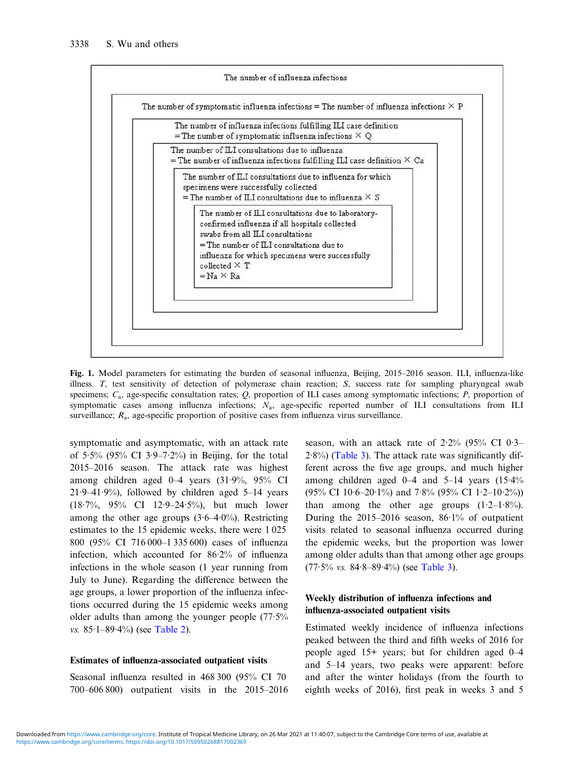<span id="page-4-0"></span>

Fig. 1. Model parameters for estimating the burden of seasonal influenza, Beijing, 2015–2016 season. ILI, influenza-like illness. T, test sensitivity of detection of polymerase chain reaction; S, success rate for sampling pharyngeal swab specimens;  $C_a$ , age-specific consultation rates;  $Q$ , proportion of ILI cases among symptomatic infections;  $P$ , proportion of symptomatic cases among influenza infections; N<sub>a</sub>, age-specific reported number of ILI consultations from ILI surveillance;  $R_a$ , age-specific proportion of positive cases from influenza virus surveillance.

symptomatic and asymptomatic, with an attack rate of 5.5% (95% CI 3.9–7.2%) in Beijing, for the total 2015–2016 season. The attack rate was highest among children aged 0–4 years (31·9%, 95% CI  $21.9-41.9\%$ ), followed by children aged 5–14 years (18·7%, 95% CI 12·9–24·5%), but much lower among the other age groups  $(3.6-4.0\%)$ . Restricting estimates to the 15 epidemic weeks, there were 1 025 800 (95% CI 716 000–1 335 600) cases of influenza infection, which accounted for 86·2% of influenza infections in the whole season (1 year running from July to June). Regarding the difference between the age groups, a lower proportion of the influenza infections occurred during the 15 epidemic weeks among older adults than among the younger people (77·5% vs.  $85.1 - 89.4\%$ ) (see [Table 2](#page-7-0)).

#### Estimates of influenza-associated outpatient visits

Seasonal influenza resulted in 468 300 (95% CI 70 700–606 800) outpatient visits in the 2015–2016 season, with an attack rate of  $2.2\%$  (95% CI 0.3–  $2.8\%$ ) ([Table 3](#page-7-0)). The attack rate was significantly different across the five age groups, and much higher among children aged 0–4 and 5–14 years (15·4% (95% CI 10.6–20.1%) and 7.8% (95% CI 1.2–10.2%)) than among the other age groups  $(1.2-1.8\%)$ . During the 2015–2016 season, 86·1% of outpatient visits related to seasonal influenza occurred during the epidemic weeks, but the proportion was lower among older adults than that among other age groups  $(77.5\% \text{ vs. } 84.8-89.4\%)$  (see [Table 3\)](#page-7-0).

# Weekly distribution of influenza infections and influenza-associated outpatient visits

Estimated weekly incidence of influenza infections peaked between the third and fifth weeks of 2016 for people aged 15+ years; but for children aged 0–4 and 5–14 years, two peaks were apparent: before and after the winter holidays (from the fourth to eighth weeks of 2016), first peak in weeks 3 and 5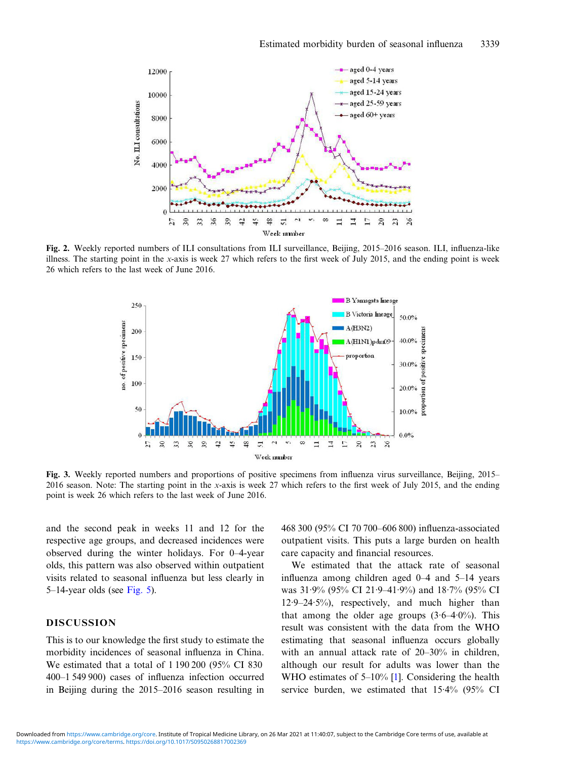<span id="page-5-0"></span>

Fig. 2. Weekly reported numbers of ILI consultations from ILI surveillance, Beijing, 2015–2016 season. ILI, influenza-like illness. The starting point in the x-axis is week 27 which refers to the first week of July 2015, and the ending point is week 26 which refers to the last week of June 2016.



Fig. 3. Weekly reported numbers and proportions of positive specimens from influenza virus surveillance, Beijing, 2015– 2016 season. Note: The starting point in the x-axis is week 27 which refers to the first week of July 2015, and the ending point is week 26 which refers to the last week of June 2016.

and the second peak in weeks 11 and 12 for the respective age groups, and decreased incidences were observed during the winter holidays. For 0–4-year olds, this pattern was also observed within outpatient visits related to seasonal influenza but less clearly in 5–14-year olds (see [Fig. 5\)](#page-8-0).

# DISCUSSION

This is to our knowledge the first study to estimate the morbidity incidences of seasonal influenza in China. We estimated that a total of 1 190 200 (95% CI 830 400–1 549 900) cases of influenza infection occurred in Beijing during the 2015–2016 season resulting in 468 300 (95% CI 70 700–606 800) influenza-associated outpatient visits. This puts a large burden on health care capacity and financial resources.

We estimated that the attack rate of seasonal influenza among children aged 0–4 and 5–14 years was 31·9% (95% CI 21·9–41·9%) and 18·7% (95% CI 12·9–24·5%), respectively, and much higher than that among the older age groups  $(3.6-4.0\%)$ . This result was consistent with the data from the WHO estimating that seasonal influenza occurs globally with an annual attack rate of 20–30% in children, although our result for adults was lower than the WHO estimates of 5–10% [\[1](#page-10-0)]. Considering the health service burden, we estimated that 15·4% (95% CI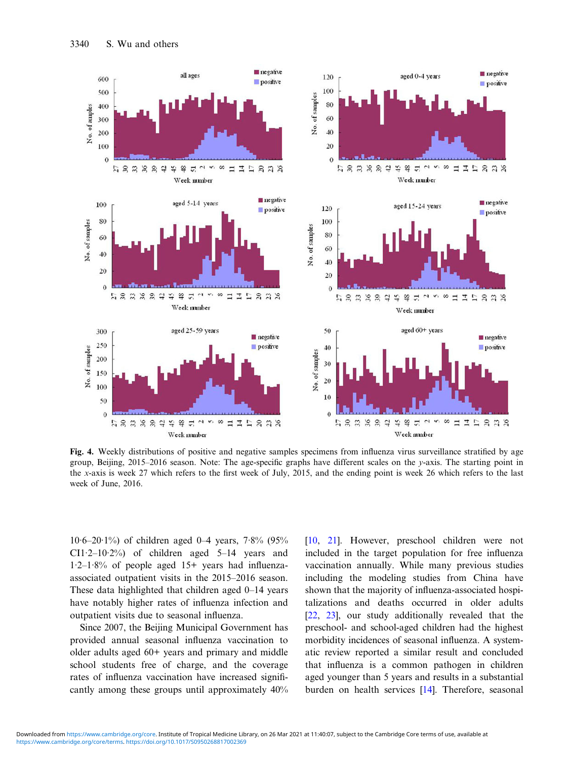<span id="page-6-0"></span>

Fig. 4. Weekly distributions of positive and negative samples specimens from influenza virus surveillance stratified by age group, Beijing, 2015–2016 season. Note: The age-specific graphs have different scales on the y-axis. The starting point in the x-axis is week 27 which refers to the first week of July, 2015, and the ending point is week 26 which refers to the last week of June, 2016.

 $10.6 - 20.1\%$ ) of children aged 0–4 years, 7.8% (95% CI1·2–10·2%) of children aged 5–14 years and 1·2–1·8% of people aged 15+ years had influenzaassociated outpatient visits in the 2015–2016 season. These data highlighted that children aged 0–14 years have notably higher rates of influenza infection and outpatient visits due to seasonal influenza.

Since 2007, the Beijing Municipal Government has provided annual seasonal influenza vaccination to older adults aged 60+ years and primary and middle school students free of charge, and the coverage rates of influenza vaccination have increased significantly among these groups until approximately 40%

[[10,](#page-10-0) [21\]](#page-10-0). However, preschool children were not included in the target population for free influenza vaccination annually. While many previous studies including the modeling studies from China have shown that the majority of influenza-associated hospitalizations and deaths occurred in older adults [[22,](#page-10-0) [23\]](#page-10-0), our study additionally revealed that the preschool- and school-aged children had the highest morbidity incidences of seasonal influenza. A systematic review reported a similar result and concluded that influenza is a common pathogen in children aged younger than 5 years and results in a substantial burden on health services [[14\]](#page-10-0). Therefore, seasonal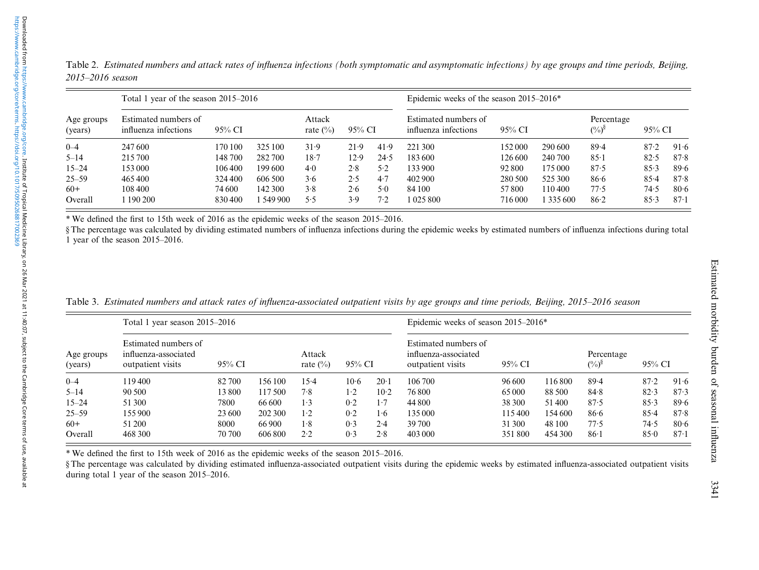<span id="page-7-0"></span>

| Table 2. Estimated numbers and attack rates of influenza infections (both symptomatic and asymptomatic infections) by age groups and time periods, Beijing, |  |  |  |  |
|-------------------------------------------------------------------------------------------------------------------------------------------------------------|--|--|--|--|
| 2015–2016 season                                                                                                                                            |  |  |  |  |

|                       | Total 1 year of the season 2015–2016                   |         | Epidemic weeks of the season $2015-2016*$ |      |                                              |        |               |                           |           |      |      |          |
|-----------------------|--------------------------------------------------------|---------|-------------------------------------------|------|----------------------------------------------|--------|---------------|---------------------------|-----------|------|------|----------|
| Age groups<br>(years) | Estimated numbers of<br>influenza infections<br>95% CI |         | Attack<br>rate $\binom{0}{0}$<br>95% CI   |      | Estimated numbers of<br>influenza infections | 95% CI |               | Percentage<br>$(\%)^{\S}$ | 95% CI    |      |      |          |
| $0 - 4$               | 247 600                                                | 170 100 | 325 100                                   | 31.9 | 21.9                                         | 41.9   | 221 300       | 152 000                   | 290 600   | 89.4 | 87.2 | 91.6     |
| $5 - 14$              | 215 700                                                | 148 700 | 282700                                    | 18.7 | 12.9                                         | 24.5   | 183 600       | 126 600                   | 240 700   | 85.1 | 82.5 | 87.8     |
| $15 - 24$             | 153 000                                                | 106 400 | 199600                                    | 4.0  | 2.8                                          | 5.2    | 133 900       | 92 800                    | 175 000   | 87.5 | 85.3 | 89.6     |
| 25–59                 | 465400                                                 | 324 400 | 606 500                                   | 3.6  | 2.5                                          | 4.7    | 402 900       | 280 500                   | 525 300   | 86.6 | 85.4 | 87.8     |
| $60+$                 | 108 400                                                | 74 600  | 142 300                                   | 3.8  | 2.6                                          | 5.0    | 84 100        | 57800                     | 110400    | 77.5 | 74.5 | 80.6     |
| Overall               | 190 200                                                | 830400  | 1 549 900                                 | 5.5  | 3.9                                          | 7.2    | 1 0 2 5 8 0 0 | 716 000                   | 1 335 600 | 86.2 | 85.3 | $87 - 1$ |

\* We de fined the first to 15th week of 2016 as the epidemic weeks of the season 2015 –2016.

§ The percentage was calculated by dividing estimated numbers of in fluenza infections during the epidemic weeks by estimated numbers of in fluenza infections during total 1 year of the season 2015 –2016.

|  | Table 3. Estimated numbers and attack rates of influenza-associated outpatient visits by age groups and time periods, Beijing, 2015–2016 season |  |  |  |  |  |
|--|-------------------------------------------------------------------------------------------------------------------------------------------------|--|--|--|--|--|
|--|-------------------------------------------------------------------------------------------------------------------------------------------------|--|--|--|--|--|

|                       | Total 1 year season 2015–2016                                     |        | Epidemic weeks of season 2015-2016* |                       |        |                   |                                                                   |        |         |                           |          |          |
|-----------------------|-------------------------------------------------------------------|--------|-------------------------------------|-----------------------|--------|-------------------|-------------------------------------------------------------------|--------|---------|---------------------------|----------|----------|
| Age groups<br>(years) | Estimated numbers of<br>influenza-associated<br>outpatient visits | 95% CI |                                     | Attack<br>rate $(\%)$ | 95% CI |                   | Estimated numbers of<br>influenza-associated<br>outpatient visits | 95% CI |         | Percentage<br>$(\%)^{\S}$ | 95% CI   |          |
| $0 - 4$               | 119400                                                            | 82 700 | 156 100                             | 15.4                  | $10-6$ | 106 700<br>$20-1$ |                                                                   | 96 600 | 116800  | 89.4                      | $87 - 2$ | 91.6     |
| $5 - 14$              | 90 500                                                            | 13800  | 117.500                             | 7.8                   | 1.2    | $10-2$            | 76800                                                             | 65 000 | 88 500  | 84.8                      | 82.3     | 87.3     |
| $15 - 24$             | 51 300                                                            | 7800   | 66 600                              | 1.3                   | 0.2    | 1.7               | 44 800                                                            | 38 300 | 51400   | 87.5                      | 85.3     | 89.6     |
| $25 - 59$             | 155 900                                                           | 23 600 | 202 300                             | $1-2$                 | 0.2    | 1.6               | 135 000                                                           | 115400 | 154 600 | 86.6                      | 85.4     | 87.8     |
| $60+$                 | 51 200                                                            | 8000   | 66 900                              | 1.8                   | 0.3    | 2.4               | 39 700                                                            | 31 300 | 48 100  | 77.5                      | 74.5     | $80-6$   |
| Overall               | 468 300                                                           | 70 700 | 606 800                             | 2.2                   | 0.3    | 2.8               | 403 000                                                           | 351800 | 454 300 | 86.1                      | 85.0     | $87 - 1$ |

\* We de fined the first to 15th week of 2016 as the epidemic weeks of the season 2015 –2016.

§ The percentage was calculated by dividing estimated in fluenza-associated outpatient visits during the epidemic weeks by estimated in fluenza-associated outpatient visits during total 1 year of the season 2015 –2016.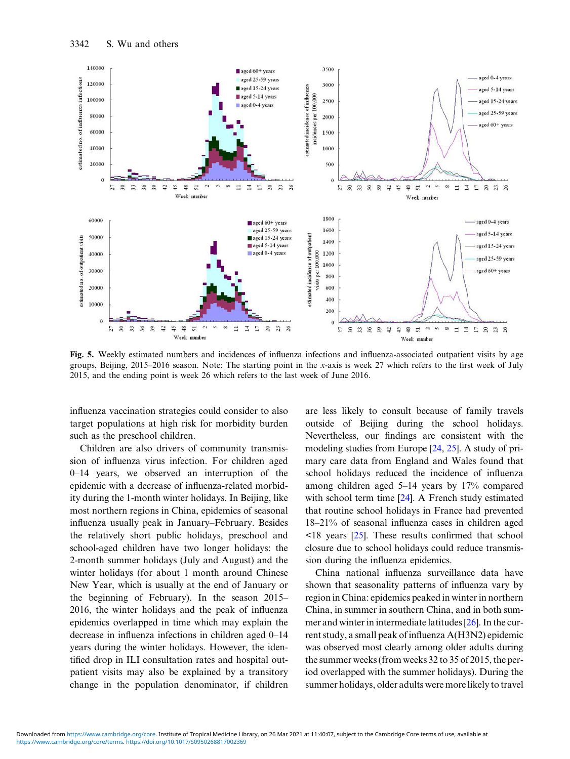<span id="page-8-0"></span>

Fig. 5. Weekly estimated numbers and incidences of influenza infections and influenza-associated outpatient visits by age groups, Beijing, 2015–2016 season. Note: The starting point in the x-axis is week 27 which refers to the first week of July 2015, and the ending point is week 26 which refers to the last week of June 2016.

influenza vaccination strategies could consider to also target populations at high risk for morbidity burden such as the preschool children.

Children are also drivers of community transmission of influenza virus infection. For children aged 0–14 years, we observed an interruption of the epidemic with a decrease of influenza-related morbidity during the 1-month winter holidays. In Beijing, like most northern regions in China, epidemics of seasonal influenza usually peak in January–February. Besides the relatively short public holidays, preschool and school-aged children have two longer holidays: the 2-month summer holidays (July and August) and the winter holidays (for about 1 month around Chinese New Year, which is usually at the end of January or the beginning of February). In the season 2015– 2016, the winter holidays and the peak of influenza epidemics overlapped in time which may explain the decrease in influenza infections in children aged 0–14 years during the winter holidays. However, the identified drop in ILI consultation rates and hospital outpatient visits may also be explained by a transitory change in the population denominator, if children are less likely to consult because of family travels outside of Beijing during the school holidays. Nevertheless, our findings are consistent with the modeling studies from Europe [[24,](#page-10-0) [25](#page-10-0)]. A study of primary care data from England and Wales found that school holidays reduced the incidence of influenza among children aged 5–14 years by 17% compared with school term time [\[24](#page-10-0)]. A French study estimated that routine school holidays in France had prevented 18–21% of seasonal influenza cases in children aged <18 years [[25\]](#page-10-0). These results confirmed that school closure due to school holidays could reduce transmission during the influenza epidemics.

China national influenza surveillance data have shown that seasonality patterns of influenza vary by region in China: epidemics peaked in winter in northern China, in summer in southern China, and in both summer and winter in intermediate latitudes [[26\]](#page-10-0). In the current study, a small peak of influenza A(H3N2) epidemic was observed most clearly among older adults during the summer weeks (from weeks 32 to 35 of 2015, the period overlapped with the summer holidays). During the summer holidays, older adults were more likely to travel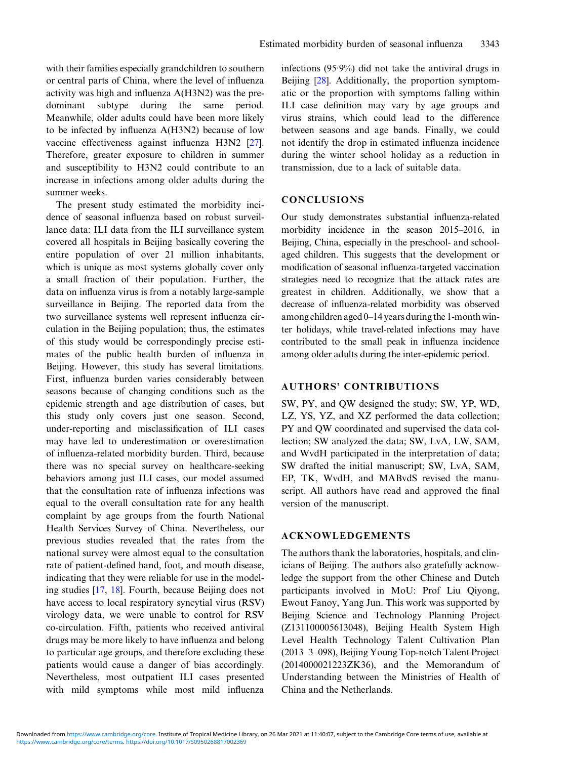with their families especially grandchildren to southern or central parts of China, where the level of influenza activity was high and influenza A(H3N2) was the predominant subtype during the same period. Meanwhile, older adults could have been more likely to be infected by influenza A(H3N2) because of low vaccine effectiveness against influenza H3N2 [[27\]](#page-10-0). Therefore, greater exposure to children in summer and susceptibility to H3N2 could contribute to an increase in infections among older adults during the summer weeks.

The present study estimated the morbidity incidence of seasonal influenza based on robust surveillance data: ILI data from the ILI surveillance system covered all hospitals in Beijing basically covering the entire population of over 21 million inhabitants, which is unique as most systems globally cover only a small fraction of their population. Further, the data on influenza virus is from a notably large-sample surveillance in Beijing. The reported data from the two surveillance systems well represent influenza circulation in the Beijing population; thus, the estimates of this study would be correspondingly precise estimates of the public health burden of influenza in Beijing. However, this study has several limitations. First, influenza burden varies considerably between seasons because of changing conditions such as the epidemic strength and age distribution of cases, but this study only covers just one season. Second, under-reporting and misclassification of ILI cases may have led to underestimation or overestimation of influenza-related morbidity burden. Third, because there was no special survey on healthcare-seeking behaviors among just ILI cases, our model assumed that the consultation rate of influenza infections was equal to the overall consultation rate for any health complaint by age groups from the fourth National Health Services Survey of China. Nevertheless, our previous studies revealed that the rates from the national survey were almost equal to the consultation rate of patient-defined hand, foot, and mouth disease, indicating that they were reliable for use in the modeling studies [\[17](#page-10-0), [18\]](#page-10-0). Fourth, because Beijing does not have access to local respiratory syncytial virus (RSV) virology data, we were unable to control for RSV co-circulation. Fifth, patients who received antiviral drugs may be more likely to have influenza and belong to particular age groups, and therefore excluding these patients would cause a danger of bias accordingly. Nevertheless, most outpatient ILI cases presented with mild symptoms while most mild influenza infections (95·9%) did not take the antiviral drugs in Beijing [\[28](#page-10-0)]. Additionally, the proportion symptomatic or the proportion with symptoms falling within ILI case definition may vary by age groups and virus strains, which could lead to the difference between seasons and age bands. Finally, we could not identify the drop in estimated influenza incidence during the winter school holiday as a reduction in transmission, due to a lack of suitable data.

# **CONCLUSIONS**

Our study demonstrates substantial influenza-related morbidity incidence in the season 2015–2016, in Beijing, China, especially in the preschool- and schoolaged children. This suggests that the development or modification of seasonal influenza-targeted vaccination strategies need to recognize that the attack rates are greatest in children. Additionally, we show that a decrease of influenza-related morbidity was observed among children aged 0–14 years during the 1-month winter holidays, while travel-related infections may have contributed to the small peak in influenza incidence among older adults during the inter-epidemic period.

# AUTHORS' CONTRIBUTIONS

SW, PY, and QW designed the study; SW, YP, WD, LZ, YS, YZ, and XZ performed the data collection; PY and QW coordinated and supervised the data collection; SW analyzed the data; SW, LvA, LW, SAM, and WvdH participated in the interpretation of data; SW drafted the initial manuscript; SW, LvA, SAM, EP, TK, WvdH, and MABvdS revised the manuscript. All authors have read and approved the final version of the manuscript.

### ACKNOWLEDGEMENTS

The authors thank the laboratories, hospitals, and clinicians of Beijing. The authors also gratefully acknowledge the support from the other Chinese and Dutch participants involved in MoU: Prof Liu Qiyong, Ewout Fanoy, Yang Jun. This work was supported by Beijing Science and Technology Planning Project (Z131100005613048), Beijing Health System High Level Health Technology Talent Cultivation Plan (2013–3–098), Beijing Young Top-notch Talent Project (2014000021223ZK36), and the Memorandum of Understanding between the Ministries of Health of China and the Netherlands.